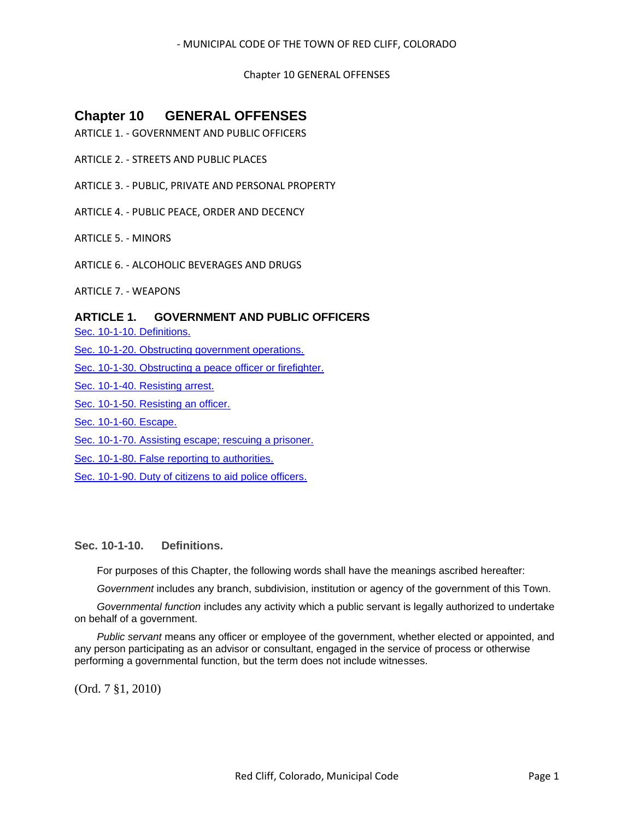# Chapter 10 GENERAL OFFENSES

# **Chapter 10 GENERAL OFFENSES**

- ARTICLE 1. GOVERNMENT AND PUBLIC OFFICERS
- ARTICLE 2. STREETS AND PUBLIC PLACES
- ARTICLE 3. PUBLIC, PRIVATE AND PERSONAL PROPERTY
- ARTICLE 4. PUBLIC PEACE, ORDER AND DECENCY
- ARTICLE 5. MINORS
- ARTICLE 6. ALCOHOLIC BEVERAGES AND DRUGS
- ARTICLE 7. WEAPONS

# **ARTICLE 1. GOVERNMENT AND PUBLIC OFFICERS**

[Sec. 10-1-10. Definitions.](#page-0-0)

- [Sec. 10-1-20. Obstructing government operations.](#page-1-0)
- [Sec. 10-1-30. Obstructing a peace officer or firefighter.](#page-1-1)
- [Sec. 10-1-40. Resisting arrest.](#page-1-2)
- [Sec. 10-1-50. Resisting an officer.](#page-2-0)
- [Sec. 10-1-60. Escape.](#page-2-1)
- [Sec. 10-1-70. Assisting escape; rescuing a prisoner.](#page-2-2)
- [Sec. 10-1-80. False reporting to authorities.](#page-2-3)
- [Sec. 10-1-90. Duty of citizens to aid police officers.](#page-3-0)

# <span id="page-0-0"></span>**Sec. 10-1-10. Definitions.**

For purposes of this Chapter, the following words shall have the meanings ascribed hereafter:

*Government* includes any branch, subdivision, institution or agency of the government of this Town.

*Governmental function* includes any activity which a public servant is legally authorized to undertake on behalf of a government.

*Public servant* means any officer or employee of the government, whether elected or appointed, and any person participating as an advisor or consultant, engaged in the service of process or otherwise performing a governmental function, but the term does not include witnesses.

(Ord. 7 §1, 2010)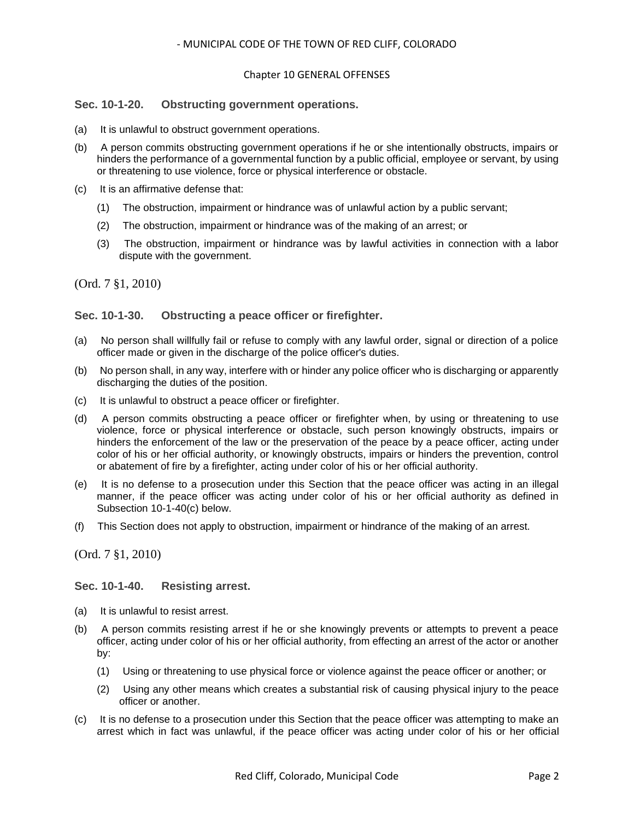### Chapter 10 GENERAL OFFENSES

# <span id="page-1-0"></span>**Sec. 10-1-20. Obstructing government operations.**

- (a) It is unlawful to obstruct government operations.
- (b) A person commits obstructing government operations if he or she intentionally obstructs, impairs or hinders the performance of a governmental function by a public official, employee or servant, by using or threatening to use violence, force or physical interference or obstacle.
- (c) It is an affirmative defense that:
	- (1) The obstruction, impairment or hindrance was of unlawful action by a public servant;
	- (2) The obstruction, impairment or hindrance was of the making of an arrest; or
	- (3) The obstruction, impairment or hindrance was by lawful activities in connection with a labor dispute with the government.

(Ord. 7 §1, 2010)

# <span id="page-1-1"></span>**Sec. 10-1-30. Obstructing a peace officer or firefighter.**

- (a) No person shall willfully fail or refuse to comply with any lawful order, signal or direction of a police officer made or given in the discharge of the police officer's duties.
- (b) No person shall, in any way, interfere with or hinder any police officer who is discharging or apparently discharging the duties of the position.
- (c) It is unlawful to obstruct a peace officer or firefighter.
- (d) A person commits obstructing a peace officer or firefighter when, by using or threatening to use violence, force or physical interference or obstacle, such person knowingly obstructs, impairs or hinders the enforcement of the law or the preservation of the peace by a peace officer, acting under color of his or her official authority, or knowingly obstructs, impairs or hinders the prevention, control or abatement of fire by a firefighter, acting under color of his or her official authority.
- (e) It is no defense to a prosecution under this Section that the peace officer was acting in an illegal manner, if the peace officer was acting under color of his or her official authority as defined in Subsection 10-1-40(c) below.
- (f) This Section does not apply to obstruction, impairment or hindrance of the making of an arrest.

(Ord. 7 §1, 2010)

#### <span id="page-1-2"></span>**Sec. 10-1-40. Resisting arrest.**

- (a) It is unlawful to resist arrest.
- (b) A person commits resisting arrest if he or she knowingly prevents or attempts to prevent a peace officer, acting under color of his or her official authority, from effecting an arrest of the actor or another by:
	- (1) Using or threatening to use physical force or violence against the peace officer or another; or
	- (2) Using any other means which creates a substantial risk of causing physical injury to the peace officer or another.
- (c) It is no defense to a prosecution under this Section that the peace officer was attempting to make an arrest which in fact was unlawful, if the peace officer was acting under color of his or her official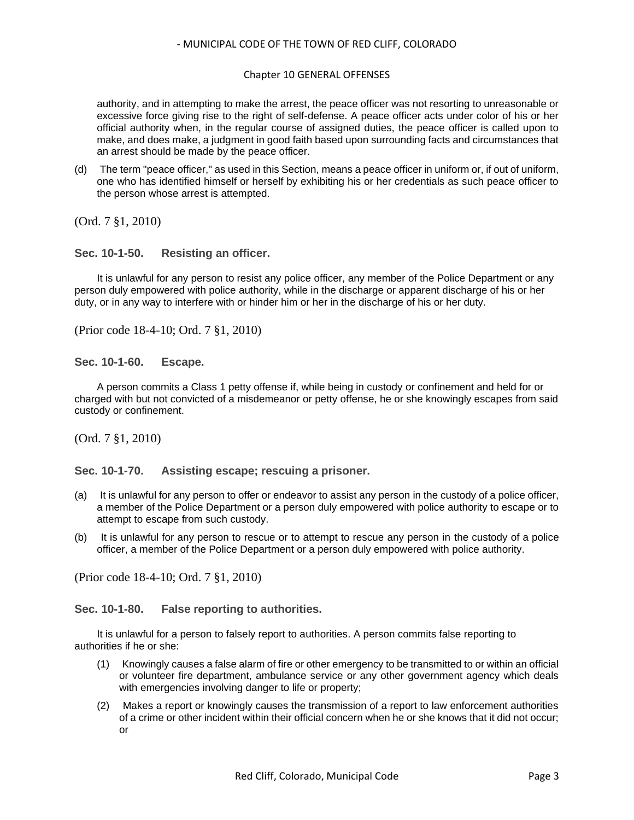### Chapter 10 GENERAL OFFENSES

authority, and in attempting to make the arrest, the peace officer was not resorting to unreasonable or excessive force giving rise to the right of self-defense. A peace officer acts under color of his or her official authority when, in the regular course of assigned duties, the peace officer is called upon to make, and does make, a judgment in good faith based upon surrounding facts and circumstances that an arrest should be made by the peace officer.

(d) The term "peace officer," as used in this Section, means a peace officer in uniform or, if out of uniform, one who has identified himself or herself by exhibiting his or her credentials as such peace officer to the person whose arrest is attempted.

(Ord. 7 §1, 2010)

# <span id="page-2-0"></span>**Sec. 10-1-50. Resisting an officer.**

It is unlawful for any person to resist any police officer, any member of the Police Department or any person duly empowered with police authority, while in the discharge or apparent discharge of his or her duty, or in any way to interfere with or hinder him or her in the discharge of his or her duty.

(Prior code 18-4-10; Ord. 7 §1, 2010)

<span id="page-2-1"></span>**Sec. 10-1-60. Escape.**

A person commits a Class 1 petty offense if, while being in custody or confinement and held for or charged with but not convicted of a misdemeanor or petty offense, he or she knowingly escapes from said custody or confinement.

(Ord. 7 §1, 2010)

<span id="page-2-2"></span>**Sec. 10-1-70. Assisting escape; rescuing a prisoner.**

- (a) It is unlawful for any person to offer or endeavor to assist any person in the custody of a police officer, a member of the Police Department or a person duly empowered with police authority to escape or to attempt to escape from such custody.
- (b) It is unlawful for any person to rescue or to attempt to rescue any person in the custody of a police officer, a member of the Police Department or a person duly empowered with police authority.

(Prior code 18-4-10; Ord. 7 §1, 2010)

<span id="page-2-3"></span>**Sec. 10-1-80. False reporting to authorities.**

It is unlawful for a person to falsely report to authorities. A person commits false reporting to authorities if he or she:

- (1) Knowingly causes a false alarm of fire or other emergency to be transmitted to or within an official or volunteer fire department, ambulance service or any other government agency which deals with emergencies involving danger to life or property;
- (2) Makes a report or knowingly causes the transmission of a report to law enforcement authorities of a crime or other incident within their official concern when he or she knows that it did not occur; or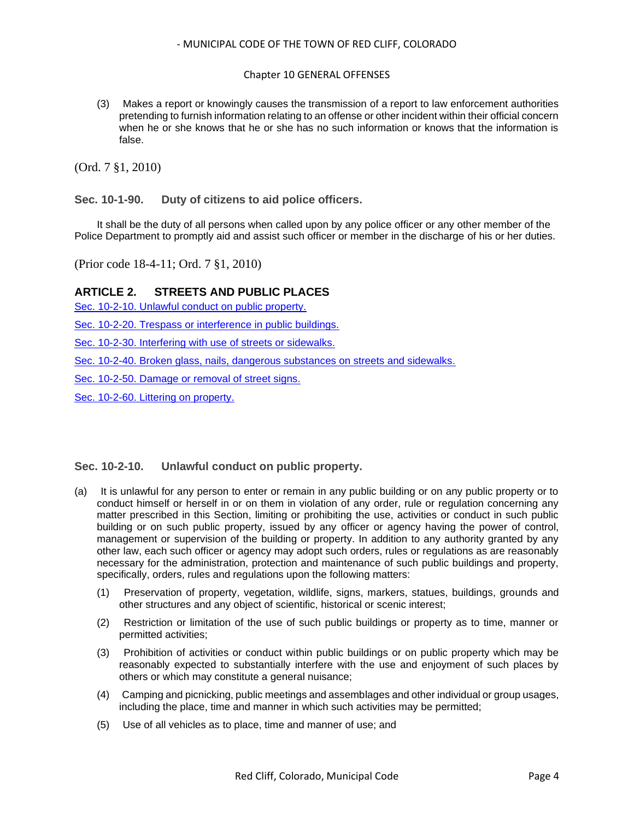# Chapter 10 GENERAL OFFENSES

(3) Makes a report or knowingly causes the transmission of a report to law enforcement authorities pretending to furnish information relating to an offense or other incident within their official concern when he or she knows that he or she has no such information or knows that the information is false.

(Ord. 7 §1, 2010)

<span id="page-3-0"></span>**Sec. 10-1-90. Duty of citizens to aid police officers.**

It shall be the duty of all persons when called upon by any police officer or any other member of the Police Department to promptly aid and assist such officer or member in the discharge of his or her duties.

(Prior code 18-4-11; Ord. 7 §1, 2010)

# **ARTICLE 2. STREETS AND PUBLIC PLACES**

[Sec. 10-2-10. Unlawful conduct on public property.](#page-3-1)

[Sec. 10-2-20. Trespass or interference in public buildings.](#page-4-0)

[Sec. 10-2-30. Interfering with use of streets or sidewalks.](#page-4-1)

Sec. 10-2-40. Broken [glass, nails, dangerous substances on streets and sidewalks.](#page-5-0)

[Sec. 10-2-50. Damage or removal of street signs.](#page-5-1)

[Sec. 10-2-60. Littering on property.](#page-5-2)

# <span id="page-3-1"></span>**Sec. 10-2-10. Unlawful conduct on public property.**

- (a) It is unlawful for any person to enter or remain in any public building or on any public property or to conduct himself or herself in or on them in violation of any order, rule or regulation concerning any matter prescribed in this Section, limiting or prohibiting the use, activities or conduct in such public building or on such public property, issued by any officer or agency having the power of control, management or supervision of the building or property. In addition to any authority granted by any other law, each such officer or agency may adopt such orders, rules or regulations as are reasonably necessary for the administration, protection and maintenance of such public buildings and property, specifically, orders, rules and regulations upon the following matters:
	- (1) Preservation of property, vegetation, wildlife, signs, markers, statues, buildings, grounds and other structures and any object of scientific, historical or scenic interest;
	- (2) Restriction or limitation of the use of such public buildings or property as to time, manner or permitted activities;
	- (3) Prohibition of activities or conduct within public buildings or on public property which may be reasonably expected to substantially interfere with the use and enjoyment of such places by others or which may constitute a general nuisance;
	- (4) Camping and picnicking, public meetings and assemblages and other individual or group usages, including the place, time and manner in which such activities may be permitted;
	- (5) Use of all vehicles as to place, time and manner of use; and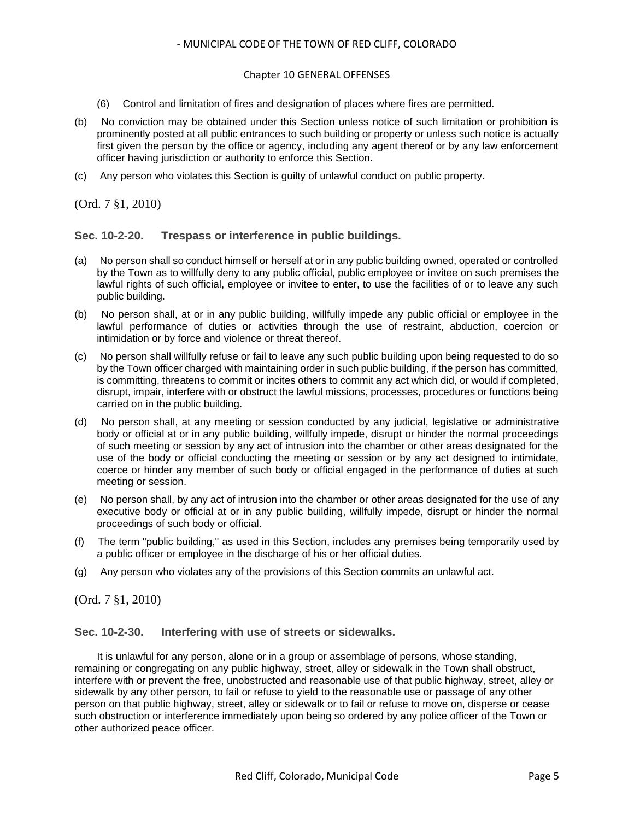#### Chapter 10 GENERAL OFFENSES

- (6) Control and limitation of fires and designation of places where fires are permitted.
- (b) No conviction may be obtained under this Section unless notice of such limitation or prohibition is prominently posted at all public entrances to such building or property or unless such notice is actually first given the person by the office or agency, including any agent thereof or by any law enforcement officer having jurisdiction or authority to enforce this Section.
- (c) Any person who violates this Section is guilty of unlawful conduct on public property.

(Ord. 7 §1, 2010)

# <span id="page-4-0"></span>**Sec. 10-2-20. Trespass or interference in public buildings.**

- (a) No person shall so conduct himself or herself at or in any public building owned, operated or controlled by the Town as to willfully deny to any public official, public employee or invitee on such premises the lawful rights of such official, employee or invitee to enter, to use the facilities of or to leave any such public building.
- (b) No person shall, at or in any public building, willfully impede any public official or employee in the lawful performance of duties or activities through the use of restraint, abduction, coercion or intimidation or by force and violence or threat thereof.
- (c) No person shall willfully refuse or fail to leave any such public building upon being requested to do so by the Town officer charged with maintaining order in such public building, if the person has committed, is committing, threatens to commit or incites others to commit any act which did, or would if completed, disrupt, impair, interfere with or obstruct the lawful missions, processes, procedures or functions being carried on in the public building.
- (d) No person shall, at any meeting or session conducted by any judicial, legislative or administrative body or official at or in any public building, willfully impede, disrupt or hinder the normal proceedings of such meeting or session by any act of intrusion into the chamber or other areas designated for the use of the body or official conducting the meeting or session or by any act designed to intimidate, coerce or hinder any member of such body or official engaged in the performance of duties at such meeting or session.
- (e) No person shall, by any act of intrusion into the chamber or other areas designated for the use of any executive body or official at or in any public building, willfully impede, disrupt or hinder the normal proceedings of such body or official.
- (f) The term "public building," as used in this Section, includes any premises being temporarily used by a public officer or employee in the discharge of his or her official duties.
- (g) Any person who violates any of the provisions of this Section commits an unlawful act.

(Ord. 7 §1, 2010)

<span id="page-4-1"></span>**Sec. 10-2-30. Interfering with use of streets or sidewalks.**

It is unlawful for any person, alone or in a group or assemblage of persons, whose standing, remaining or congregating on any public highway, street, alley or sidewalk in the Town shall obstruct, interfere with or prevent the free, unobstructed and reasonable use of that public highway, street, alley or sidewalk by any other person, to fail or refuse to yield to the reasonable use or passage of any other person on that public highway, street, alley or sidewalk or to fail or refuse to move on, disperse or cease such obstruction or interference immediately upon being so ordered by any police officer of the Town or other authorized peace officer.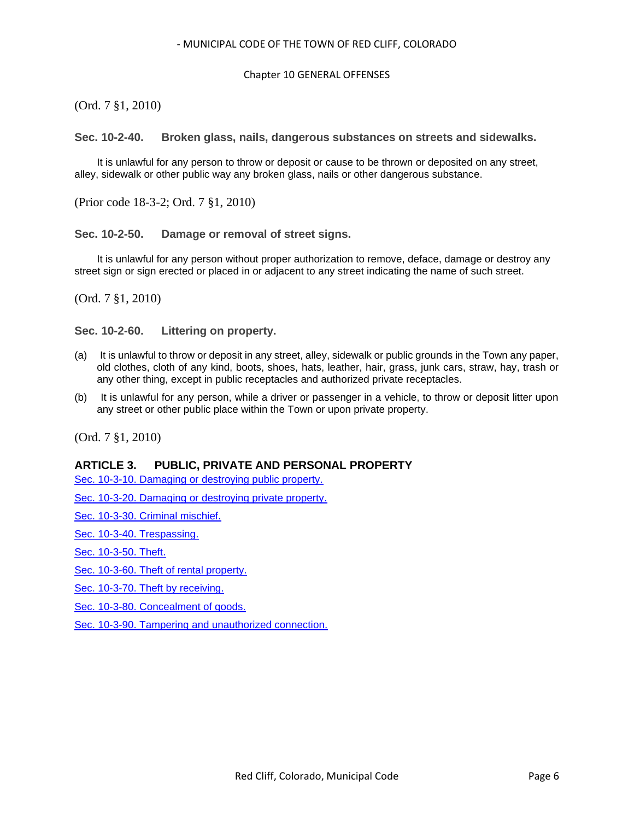### Chapter 10 GENERAL OFFENSES

(Ord. 7 §1, 2010)

<span id="page-5-0"></span>**Sec. 10-2-40. Broken glass, nails, dangerous substances on streets and sidewalks.**

It is unlawful for any person to throw or deposit or cause to be thrown or deposited on any street, alley, sidewalk or other public way any broken glass, nails or other dangerous substance.

(Prior code 18-3-2; Ord. 7 §1, 2010)

<span id="page-5-1"></span>**Sec. 10-2-50. Damage or removal of street signs.**

It is unlawful for any person without proper authorization to remove, deface, damage or destroy any street sign or sign erected or placed in or adjacent to any street indicating the name of such street.

(Ord. 7 §1, 2010)

<span id="page-5-2"></span>**Sec. 10-2-60. Littering on property.**

- (a) It is unlawful to throw or deposit in any street, alley, sidewalk or public grounds in the Town any paper, old clothes, cloth of any kind, boots, shoes, hats, leather, hair, grass, junk cars, straw, hay, trash or any other thing, except in public receptacles and authorized private receptacles.
- (b) It is unlawful for any person, while a driver or passenger in a vehicle, to throw or deposit litter upon any street or other public place within the Town or upon private property.

(Ord. 7 §1, 2010)

#### **ARTICLE 3. PUBLIC, PRIVATE AND PERSONAL PROPERTY**

[Sec. 10-3-10. Damaging or destroying public property.](#page-6-0)

[Sec. 10-3-20. Damaging or destroying private property.](#page-6-1)

[Sec. 10-3-30. Criminal mischief.](#page-6-2)

[Sec. 10-3-40. Trespassing.](#page-6-3)

[Sec. 10-3-50. Theft.](#page-6-4)

[Sec. 10-3-60. Theft of rental property.](#page-7-0)

[Sec. 10-3-70. Theft by receiving.](#page-7-1)

[Sec. 10-3-80. Concealment of goods.](#page-7-2)

Sec. 10-3-90. Tampering [and unauthorized connection.](#page-7-3)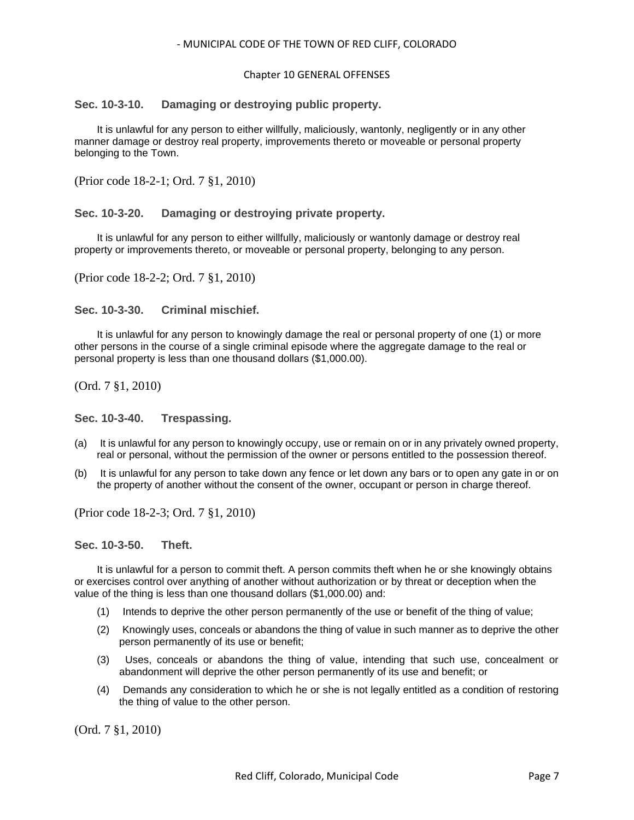#### Chapter 10 GENERAL OFFENSES

# <span id="page-6-0"></span>**Sec. 10-3-10. Damaging or destroying public property.**

It is unlawful for any person to either willfully, maliciously, wantonly, negligently or in any other manner damage or destroy real property, improvements thereto or moveable or personal property belonging to the Town.

(Prior code 18-2-1; Ord. 7 §1, 2010)

# <span id="page-6-1"></span>**Sec. 10-3-20. Damaging or destroying private property.**

It is unlawful for any person to either willfully, maliciously or wantonly damage or destroy real property or improvements thereto, or moveable or personal property, belonging to any person.

(Prior code 18-2-2; Ord. 7 §1, 2010)

<span id="page-6-2"></span>**Sec. 10-3-30. Criminal mischief.**

It is unlawful for any person to knowingly damage the real or personal property of one (1) or more other persons in the course of a single criminal episode where the aggregate damage to the real or personal property is less than one thousand dollars (\$1,000.00).

(Ord. 7 §1, 2010)

<span id="page-6-3"></span>**Sec. 10-3-40. Trespassing.**

- (a) It is unlawful for any person to knowingly occupy, use or remain on or in any privately owned property, real or personal, without the permission of the owner or persons entitled to the possession thereof.
- (b) It is unlawful for any person to take down any fence or let down any bars or to open any gate in or on the property of another without the consent of the owner, occupant or person in charge thereof.

(Prior code 18-2-3; Ord. 7 §1, 2010)

#### <span id="page-6-4"></span>**Sec. 10-3-50. Theft.**

It is unlawful for a person to commit theft. A person commits theft when he or she knowingly obtains or exercises control over anything of another without authorization or by threat or deception when the value of the thing is less than one thousand dollars (\$1,000.00) and:

- (1) Intends to deprive the other person permanently of the use or benefit of the thing of value;
- (2) Knowingly uses, conceals or abandons the thing of value in such manner as to deprive the other person permanently of its use or benefit;
- (3) Uses, conceals or abandons the thing of value, intending that such use, concealment or abandonment will deprive the other person permanently of its use and benefit; or
- (4) Demands any consideration to which he or she is not legally entitled as a condition of restoring the thing of value to the other person.

(Ord. 7 §1, 2010)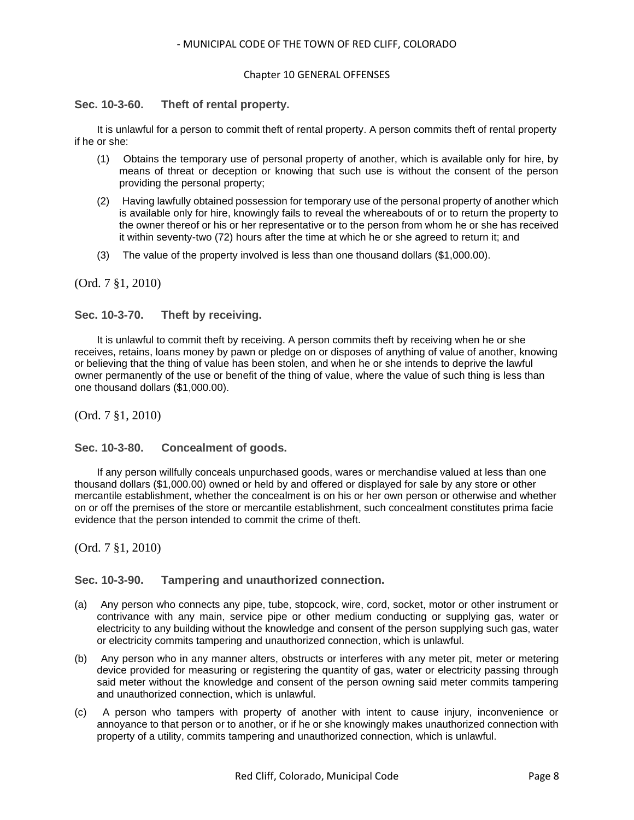### Chapter 10 GENERAL OFFENSES

# <span id="page-7-0"></span>**Sec. 10-3-60. Theft of rental property.**

It is unlawful for a person to commit theft of rental property. A person commits theft of rental property if he or she:

- (1) Obtains the temporary use of personal property of another, which is available only for hire, by means of threat or deception or knowing that such use is without the consent of the person providing the personal property;
- (2) Having lawfully obtained possession for temporary use of the personal property of another which is available only for hire, knowingly fails to reveal the whereabouts of or to return the property to the owner thereof or his or her representative or to the person from whom he or she has received it within seventy-two (72) hours after the time at which he or she agreed to return it; and
- (3) The value of the property involved is less than one thousand dollars (\$1,000.00).

(Ord. 7 §1, 2010)

# <span id="page-7-1"></span>**Sec. 10-3-70. Theft by receiving.**

It is unlawful to commit theft by receiving. A person commits theft by receiving when he or she receives, retains, loans money by pawn or pledge on or disposes of anything of value of another, knowing or believing that the thing of value has been stolen, and when he or she intends to deprive the lawful owner permanently of the use or benefit of the thing of value, where the value of such thing is less than one thousand dollars (\$1,000.00).

(Ord. 7 §1, 2010)

<span id="page-7-2"></span>**Sec. 10-3-80. Concealment of goods.**

If any person willfully conceals unpurchased goods, wares or merchandise valued at less than one thousand dollars (\$1,000.00) owned or held by and offered or displayed for sale by any store or other mercantile establishment, whether the concealment is on his or her own person or otherwise and whether on or off the premises of the store or mercantile establishment, such concealment constitutes prima facie evidence that the person intended to commit the crime of theft.

(Ord. 7 §1, 2010)

# <span id="page-7-3"></span>**Sec. 10-3-90. Tampering and unauthorized connection.**

- (a) Any person who connects any pipe, tube, stopcock, wire, cord, socket, motor or other instrument or contrivance with any main, service pipe or other medium conducting or supplying gas, water or electricity to any building without the knowledge and consent of the person supplying such gas, water or electricity commits tampering and unauthorized connection, which is unlawful.
- (b) Any person who in any manner alters, obstructs or interferes with any meter pit, meter or metering device provided for measuring or registering the quantity of gas, water or electricity passing through said meter without the knowledge and consent of the person owning said meter commits tampering and unauthorized connection, which is unlawful.
- (c) A person who tampers with property of another with intent to cause injury, inconvenience or annoyance to that person or to another, or if he or she knowingly makes unauthorized connection with property of a utility, commits tampering and unauthorized connection, which is unlawful.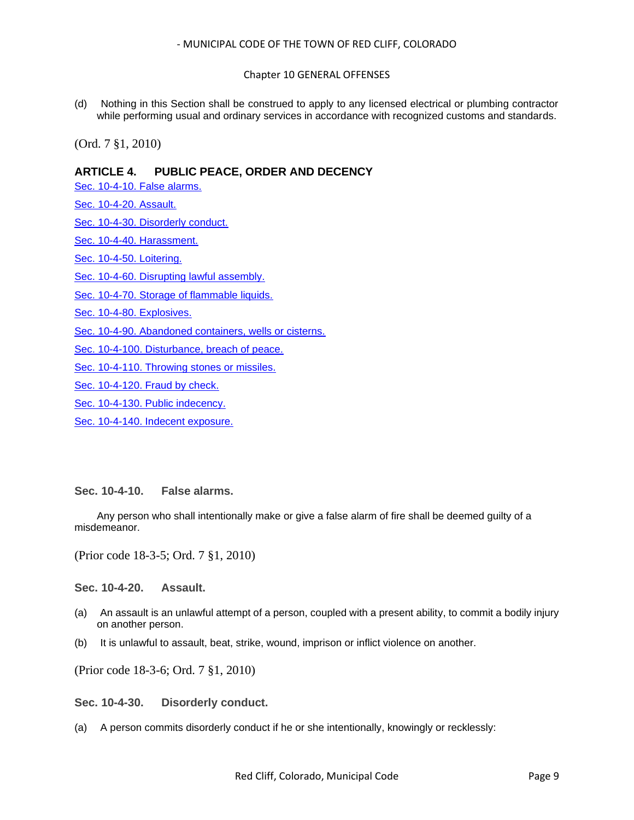# Chapter 10 GENERAL OFFENSES

(d) Nothing in this Section shall be construed to apply to any licensed electrical or plumbing contractor while performing usual and ordinary services in accordance with recognized customs and standards.

(Ord. 7 §1, 2010)

# **ARTICLE 4. PUBLIC PEACE, ORDER AND DECENCY**

[Sec. 10-4-10. False alarms.](#page-8-0)

[Sec. 10-4-20. Assault.](#page-8-1)

[Sec. 10-4-30. Disorderly conduct.](#page-8-2)

[Sec. 10-4-40. Harassment.](#page-9-0)

[Sec. 10-4-50. Loitering.](#page-10-0)

[Sec. 10-4-60. Disrupting lawful assembly.](#page-10-1)

[Sec. 10-4-70. Storage of flammable liquids.](#page-10-2)

[Sec. 10-4-80. Explosives.](#page-10-3)

[Sec. 10-4-90. Abandoned containers, wells or cisterns.](#page-10-4)

[Sec. 10-4-100. Disturbance, breach of peace.](#page-10-5)

[Sec. 10-4-110. Throwing stones or missiles.](#page-11-0)

[Sec. 10-4-120. Fraud by check.](#page-11-1)

[Sec. 10-4-130. Public indecency.](#page-12-0)

[Sec. 10-4-140. Indecent exposure.](#page-12-1)

#### <span id="page-8-0"></span>**Sec. 10-4-10. False alarms.**

Any person who shall intentionally make or give a false alarm of fire shall be deemed guilty of a misdemeanor.

(Prior code 18-3-5; Ord. 7 §1, 2010)

<span id="page-8-1"></span>**Sec. 10-4-20. Assault.**

- (a) An assault is an unlawful attempt of a person, coupled with a present ability, to commit a bodily injury on another person.
- (b) It is unlawful to assault, beat, strike, wound, imprison or inflict violence on another.

(Prior code 18-3-6; Ord. 7 §1, 2010)

<span id="page-8-2"></span>**Sec. 10-4-30. Disorderly conduct.**

(a) A person commits disorderly conduct if he or she intentionally, knowingly or recklessly: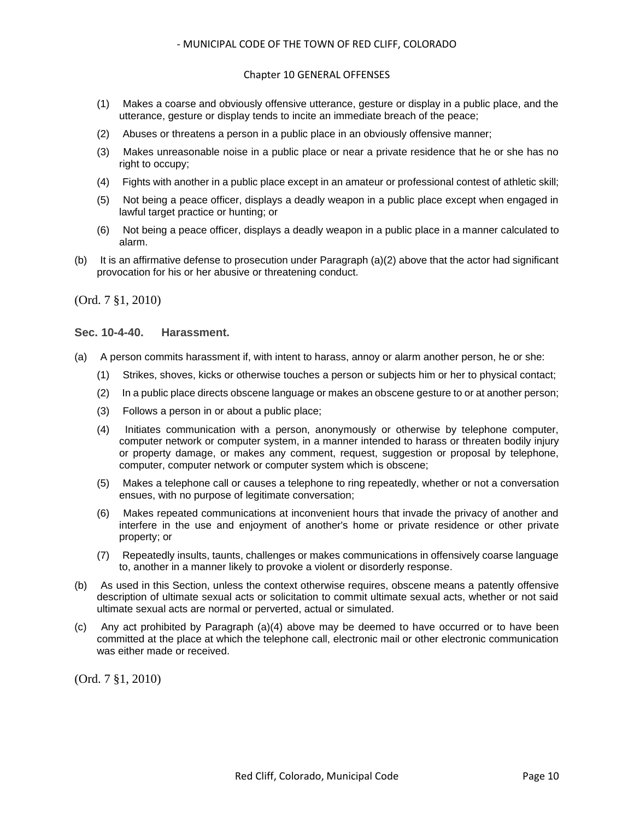# Chapter 10 GENERAL OFFENSES

- (1) Makes a coarse and obviously offensive utterance, gesture or display in a public place, and the utterance, gesture or display tends to incite an immediate breach of the peace;
- (2) Abuses or threatens a person in a public place in an obviously offensive manner;
- (3) Makes unreasonable noise in a public place or near a private residence that he or she has no right to occupy;
- (4) Fights with another in a public place except in an amateur or professional contest of athletic skill;
- (5) Not being a peace officer, displays a deadly weapon in a public place except when engaged in lawful target practice or hunting; or
- (6) Not being a peace officer, displays a deadly weapon in a public place in a manner calculated to alarm.
- (b) It is an affirmative defense to prosecution under Paragraph (a)(2) above that the actor had significant provocation for his or her abusive or threatening conduct.

(Ord. 7 §1, 2010)

#### <span id="page-9-0"></span>**Sec. 10-4-40. Harassment.**

- (a) A person commits harassment if, with intent to harass, annoy or alarm another person, he or she:
	- (1) Strikes, shoves, kicks or otherwise touches a person or subjects him or her to physical contact;
	- (2) In a public place directs obscene language or makes an obscene gesture to or at another person;
	- (3) Follows a person in or about a public place;
	- (4) Initiates communication with a person, anonymously or otherwise by telephone computer, computer network or computer system, in a manner intended to harass or threaten bodily injury or property damage, or makes any comment, request, suggestion or proposal by telephone, computer, computer network or computer system which is obscene;
	- (5) Makes a telephone call or causes a telephone to ring repeatedly, whether or not a conversation ensues, with no purpose of legitimate conversation;
	- (6) Makes repeated communications at inconvenient hours that invade the privacy of another and interfere in the use and enjoyment of another's home or private residence or other private property; or
	- (7) Repeatedly insults, taunts, challenges or makes communications in offensively coarse language to, another in a manner likely to provoke a violent or disorderly response.
- (b) As used in this Section, unless the context otherwise requires, obscene means a patently offensive description of ultimate sexual acts or solicitation to commit ultimate sexual acts, whether or not said ultimate sexual acts are normal or perverted, actual or simulated.
- (c) Any act prohibited by Paragraph (a)(4) above may be deemed to have occurred or to have been committed at the place at which the telephone call, electronic mail or other electronic communication was either made or received.

(Ord. 7 §1, 2010)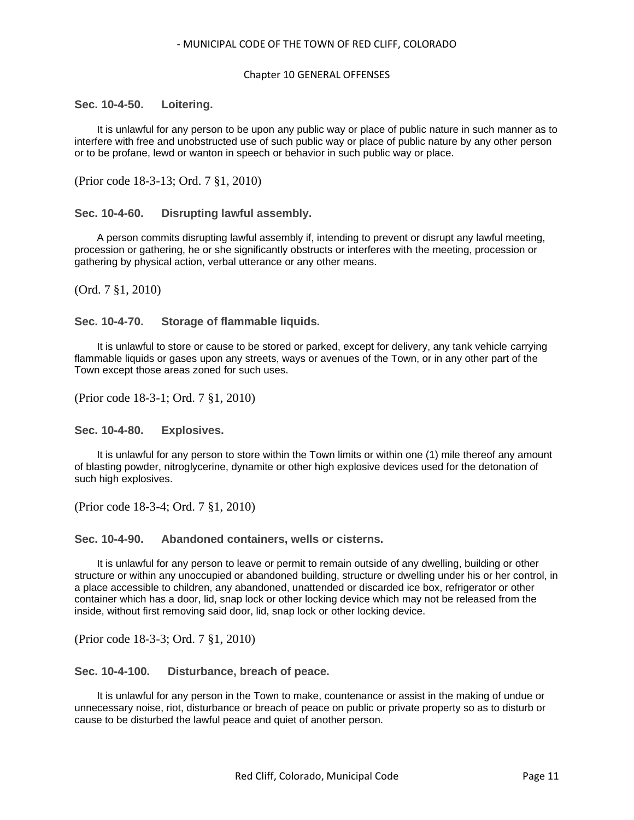#### Chapter 10 GENERAL OFFENSES

#### <span id="page-10-0"></span>**Sec. 10-4-50. Loitering.**

It is unlawful for any person to be upon any public way or place of public nature in such manner as to interfere with free and unobstructed use of such public way or place of public nature by any other person or to be profane, lewd or wanton in speech or behavior in such public way or place.

(Prior code 18-3-13; Ord. 7 §1, 2010)

# <span id="page-10-1"></span>**Sec. 10-4-60. Disrupting lawful assembly.**

A person commits disrupting lawful assembly if, intending to prevent or disrupt any lawful meeting, procession or gathering, he or she significantly obstructs or interferes with the meeting, procession or gathering by physical action, verbal utterance or any other means.

(Ord. 7 §1, 2010)

#### <span id="page-10-2"></span>**Sec. 10-4-70. Storage of flammable liquids.**

It is unlawful to store or cause to be stored or parked, except for delivery, any tank vehicle carrying flammable liquids or gases upon any streets, ways or avenues of the Town, or in any other part of the Town except those areas zoned for such uses.

(Prior code 18-3-1; Ord. 7 §1, 2010)

<span id="page-10-3"></span>**Sec. 10-4-80. Explosives.**

It is unlawful for any person to store within the Town limits or within one (1) mile thereof any amount of blasting powder, nitroglycerine, dynamite or other high explosive devices used for the detonation of such high explosives.

(Prior code 18-3-4; Ord. 7 §1, 2010)

<span id="page-10-4"></span>**Sec. 10-4-90. Abandoned containers, wells or cisterns.**

It is unlawful for any person to leave or permit to remain outside of any dwelling, building or other structure or within any unoccupied or abandoned building, structure or dwelling under his or her control, in a place accessible to children, any abandoned, unattended or discarded ice box, refrigerator or other container which has a door, lid, snap lock or other locking device which may not be released from the inside, without first removing said door, lid, snap lock or other locking device.

(Prior code 18-3-3; Ord. 7 §1, 2010)

```
Sec. 10-4-100. Disturbance, breach of peace.
```
It is unlawful for any person in the Town to make, countenance or assist in the making of undue or unnecessary noise, riot, disturbance or breach of peace on public or private property so as to disturb or cause to be disturbed the lawful peace and quiet of another person.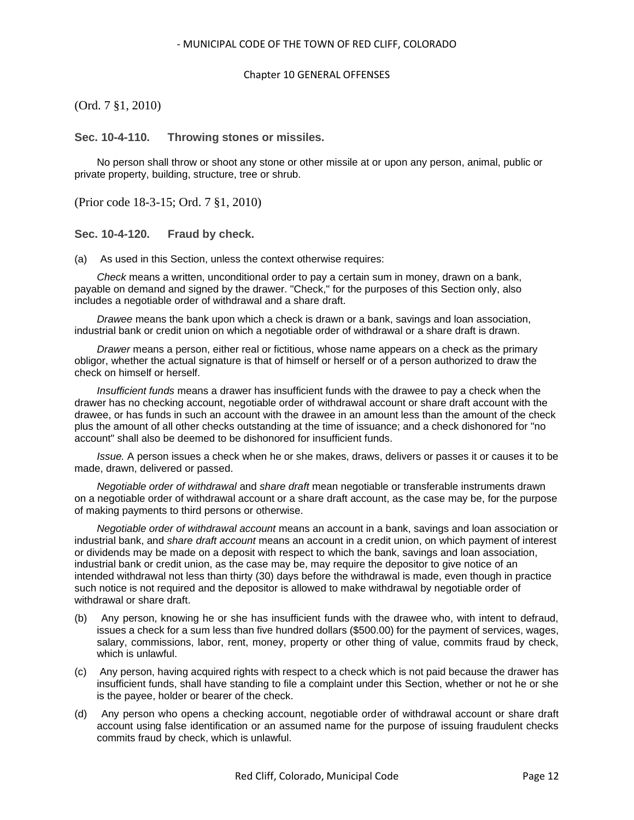# Chapter 10 GENERAL OFFENSES

(Ord. 7 §1, 2010)

<span id="page-11-0"></span>**Sec. 10-4-110. Throwing stones or missiles.**

No person shall throw or shoot any stone or other missile at or upon any person, animal, public or private property, building, structure, tree or shrub.

(Prior code 18-3-15; Ord. 7 §1, 2010)

<span id="page-11-1"></span>**Sec. 10-4-120. Fraud by check.**

(a) As used in this Section, unless the context otherwise requires:

*Check* means a written, unconditional order to pay a certain sum in money, drawn on a bank, payable on demand and signed by the drawer. "Check," for the purposes of this Section only, also includes a negotiable order of withdrawal and a share draft.

*Drawee* means the bank upon which a check is drawn or a bank, savings and loan association, industrial bank or credit union on which a negotiable order of withdrawal or a share draft is drawn.

*Drawer* means a person, either real or fictitious, whose name appears on a check as the primary obligor, whether the actual signature is that of himself or herself or of a person authorized to draw the check on himself or herself.

*Insufficient funds* means a drawer has insufficient funds with the drawee to pay a check when the drawer has no checking account, negotiable order of withdrawal account or share draft account with the drawee, or has funds in such an account with the drawee in an amount less than the amount of the check plus the amount of all other checks outstanding at the time of issuance; and a check dishonored for "no account" shall also be deemed to be dishonored for insufficient funds.

*Issue.* A person issues a check when he or she makes, draws, delivers or passes it or causes it to be made, drawn, delivered or passed.

*Negotiable order of withdrawal* and *share draft* mean negotiable or transferable instruments drawn on a negotiable order of withdrawal account or a share draft account, as the case may be, for the purpose of making payments to third persons or otherwise.

*Negotiable order of withdrawal account* means an account in a bank, savings and loan association or industrial bank, and *share draft account* means an account in a credit union, on which payment of interest or dividends may be made on a deposit with respect to which the bank, savings and loan association, industrial bank or credit union, as the case may be, may require the depositor to give notice of an intended withdrawal not less than thirty (30) days before the withdrawal is made, even though in practice such notice is not required and the depositor is allowed to make withdrawal by negotiable order of withdrawal or share draft.

- (b) Any person, knowing he or she has insufficient funds with the drawee who, with intent to defraud, issues a check for a sum less than five hundred dollars (\$500.00) for the payment of services, wages, salary, commissions, labor, rent, money, property or other thing of value, commits fraud by check, which is unlawful.
- (c) Any person, having acquired rights with respect to a check which is not paid because the drawer has insufficient funds, shall have standing to file a complaint under this Section, whether or not he or she is the payee, holder or bearer of the check.
- (d) Any person who opens a checking account, negotiable order of withdrawal account or share draft account using false identification or an assumed name for the purpose of issuing fraudulent checks commits fraud by check, which is unlawful.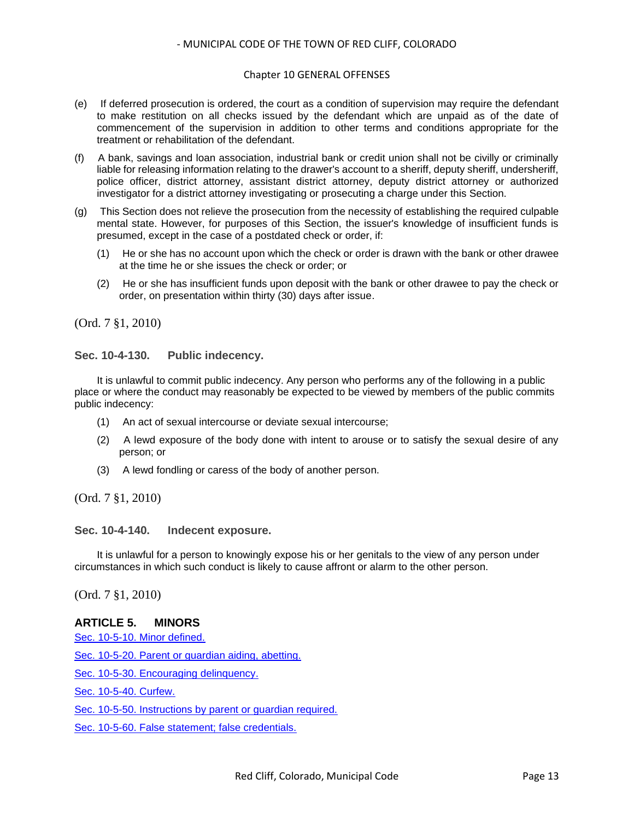#### Chapter 10 GENERAL OFFENSES

- (e) If deferred prosecution is ordered, the court as a condition of supervision may require the defendant to make restitution on all checks issued by the defendant which are unpaid as of the date of commencement of the supervision in addition to other terms and conditions appropriate for the treatment or rehabilitation of the defendant.
- (f) A bank, savings and loan association, industrial bank or credit union shall not be civilly or criminally liable for releasing information relating to the drawer's account to a sheriff, deputy sheriff, undersheriff, police officer, district attorney, assistant district attorney, deputy district attorney or authorized investigator for a district attorney investigating or prosecuting a charge under this Section.
- (g) This Section does not relieve the prosecution from the necessity of establishing the required culpable mental state. However, for purposes of this Section, the issuer's knowledge of insufficient funds is presumed, except in the case of a postdated check or order, if:
	- (1) He or she has no account upon which the check or order is drawn with the bank or other drawee at the time he or she issues the check or order; or
	- (2) He or she has insufficient funds upon deposit with the bank or other drawee to pay the check or order, on presentation within thirty (30) days after issue.

(Ord. 7 §1, 2010)

<span id="page-12-0"></span>**Sec. 10-4-130. Public indecency.**

It is unlawful to commit public indecency. Any person who performs any of the following in a public place or where the conduct may reasonably be expected to be viewed by members of the public commits public indecency:

- (1) An act of sexual intercourse or deviate sexual intercourse;
- (2) A lewd exposure of the body done with intent to arouse or to satisfy the sexual desire of any person; or
- (3) A lewd fondling or caress of the body of another person.

(Ord. 7 §1, 2010)

<span id="page-12-1"></span>**Sec. 10-4-140. Indecent exposure.**

It is unlawful for a person to knowingly expose his or her genitals to the view of any person under circumstances in which such conduct is likely to cause affront or alarm to the other person.

(Ord. 7 §1, 2010)

# **ARTICLE 5. MINORS**

[Sec. 10-5-10. Minor defined.](#page-13-0)

[Sec. 10-5-20. Parent or guardian aiding, abetting.](#page-13-1)

[Sec. 10-5-30. Encouraging delinquency.](#page-13-2)

[Sec. 10-5-40. Curfew.](#page-13-3)

[Sec. 10-5-50. Instructions by parent or guardian required.](#page-13-4)

[Sec. 10-5-60. False statement; false credentials.](#page-14-0)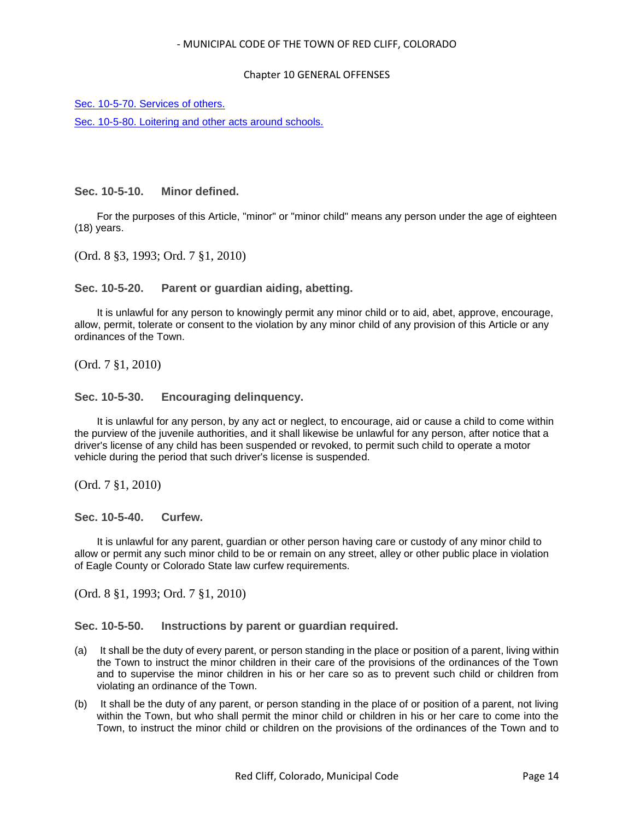### Chapter 10 GENERAL OFFENSES

[Sec. 10-5-70. Services of others.](#page-14-1)

[Sec. 10-5-80. Loitering and other acts around schools.](#page-14-2)

<span id="page-13-0"></span>**Sec. 10-5-10. Minor defined.**

For the purposes of this Article, "minor" or "minor child" means any person under the age of eighteen (18) years.

(Ord. 8 §3, 1993; Ord. 7 §1, 2010)

<span id="page-13-1"></span>**Sec. 10-5-20. Parent or guardian aiding, abetting.**

It is unlawful for any person to knowingly permit any minor child or to aid, abet, approve, encourage, allow, permit, tolerate or consent to the violation by any minor child of any provision of this Article or any ordinances of the Town.

(Ord. 7 §1, 2010)

<span id="page-13-2"></span>**Sec. 10-5-30. Encouraging delinquency.**

It is unlawful for any person, by any act or neglect, to encourage, aid or cause a child to come within the purview of the juvenile authorities, and it shall likewise be unlawful for any person, after notice that a driver's license of any child has been suspended or revoked, to permit such child to operate a motor vehicle during the period that such driver's license is suspended.

(Ord. 7 §1, 2010)

<span id="page-13-3"></span>**Sec. 10-5-40. Curfew.**

It is unlawful for any parent, guardian or other person having care or custody of any minor child to allow or permit any such minor child to be or remain on any street, alley or other public place in violation of Eagle County or Colorado State law curfew requirements.

(Ord. 8 §1, 1993; Ord. 7 §1, 2010)

<span id="page-13-4"></span>**Sec. 10-5-50. Instructions by parent or guardian required.**

- (a) It shall be the duty of every parent, or person standing in the place or position of a parent, living within the Town to instruct the minor children in their care of the provisions of the ordinances of the Town and to supervise the minor children in his or her care so as to prevent such child or children from violating an ordinance of the Town.
- (b) It shall be the duty of any parent, or person standing in the place of or position of a parent, not living within the Town, but who shall permit the minor child or children in his or her care to come into the Town, to instruct the minor child or children on the provisions of the ordinances of the Town and to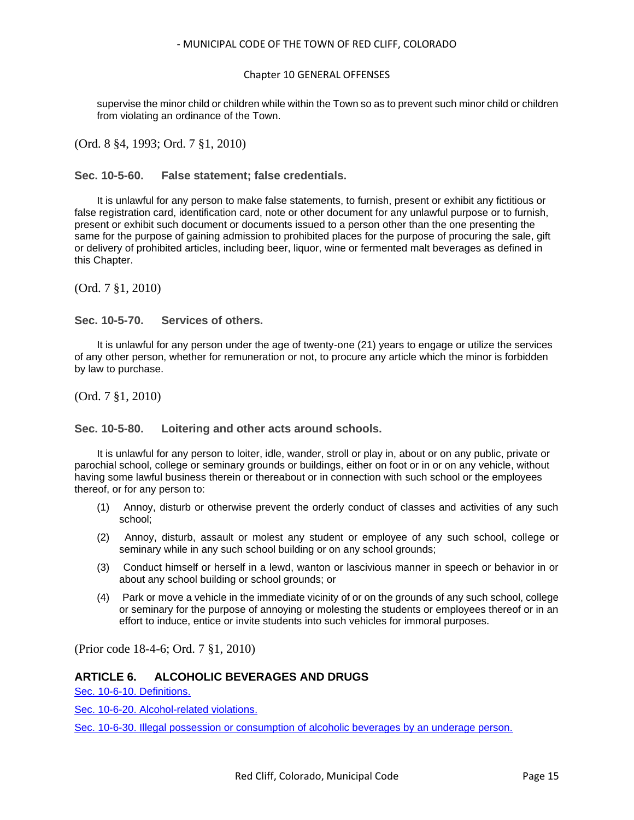# Chapter 10 GENERAL OFFENSES

supervise the minor child or children while within the Town so as to prevent such minor child or children from violating an ordinance of the Town.

(Ord. 8 §4, 1993; Ord. 7 §1, 2010)

# <span id="page-14-0"></span>**Sec. 10-5-60. False statement; false credentials.**

It is unlawful for any person to make false statements, to furnish, present or exhibit any fictitious or false registration card, identification card, note or other document for any unlawful purpose or to furnish, present or exhibit such document or documents issued to a person other than the one presenting the same for the purpose of gaining admission to prohibited places for the purpose of procuring the sale, gift or delivery of prohibited articles, including beer, liquor, wine or fermented malt beverages as defined in this Chapter.

(Ord. 7 §1, 2010)

# <span id="page-14-1"></span>**Sec. 10-5-70. Services of others.**

It is unlawful for any person under the age of twenty-one (21) years to engage or utilize the services of any other person, whether for remuneration or not, to procure any article which the minor is forbidden by law to purchase.

(Ord. 7 §1, 2010)

# <span id="page-14-2"></span>**Sec. 10-5-80. Loitering and other acts around schools.**

It is unlawful for any person to loiter, idle, wander, stroll or play in, about or on any public, private or parochial school, college or seminary grounds or buildings, either on foot or in or on any vehicle, without having some lawful business therein or thereabout or in connection with such school or the employees thereof, or for any person to:

- (1) Annoy, disturb or otherwise prevent the orderly conduct of classes and activities of any such school;
- (2) Annoy, disturb, assault or molest any student or employee of any such school, college or seminary while in any such school building or on any school grounds;
- (3) Conduct himself or herself in a lewd, wanton or lascivious manner in speech or behavior in or about any school building or school grounds; or
- (4) Park or move a vehicle in the immediate vicinity of or on the grounds of any such school, college or seminary for the purpose of annoying or molesting the students or employees thereof or in an effort to induce, entice or invite students into such vehicles for immoral purposes.

(Prior code 18-4-6; Ord. 7 §1, 2010)

# **ARTICLE 6. ALCOHOLIC BEVERAGES AND DRUGS**

[Sec. 10-6-10. Definitions.](#page-15-0)

[Sec. 10-6-20. Alcohol-related violations.](#page-15-1)

[Sec. 10-6-30. Illegal possession or consumption of alcoholic beverages by an underage person.](#page-16-0)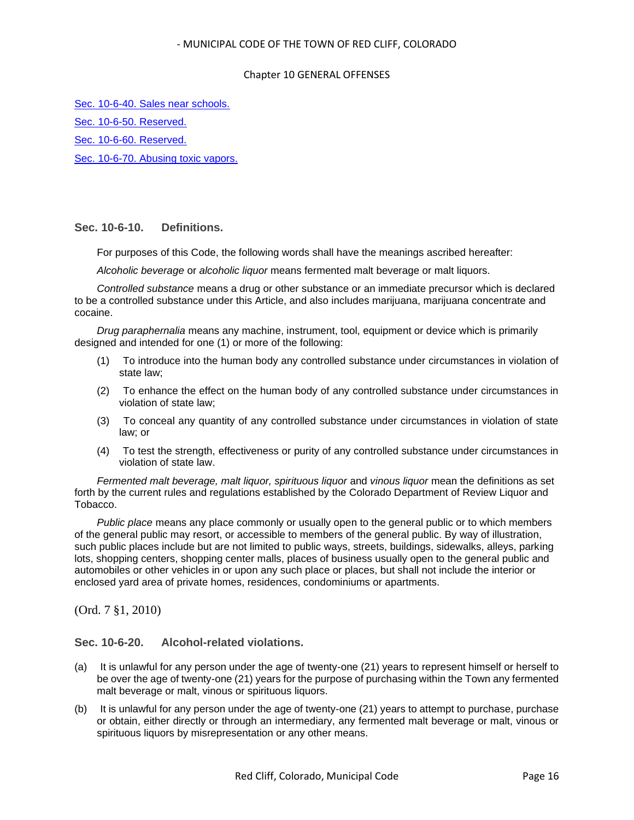### Chapter 10 GENERAL OFFENSES

[Sec. 10-6-40. Sales near schools.](#page-17-0)

[Sec. 10-6-50. Reserved.](#page-17-1)

[Sec. 10-6-60. Reserved.](#page-18-0)

[Sec. 10-6-70. Abusing toxic vapors.](#page-18-1)

# <span id="page-15-0"></span>**Sec. 10-6-10. Definitions.**

For purposes of this Code, the following words shall have the meanings ascribed hereafter:

*Alcoholic beverage* or *alcoholic liquor* means fermented malt beverage or malt liquors.

*Controlled substance* means a drug or other substance or an immediate precursor which is declared to be a controlled substance under this Article, and also includes marijuana, marijuana concentrate and cocaine.

*Drug paraphernalia* means any machine, instrument, tool, equipment or device which is primarily designed and intended for one (1) or more of the following:

- (1) To introduce into the human body any controlled substance under circumstances in violation of state law;
- (2) To enhance the effect on the human body of any controlled substance under circumstances in violation of state law;
- (3) To conceal any quantity of any controlled substance under circumstances in violation of state law; or
- (4) To test the strength, effectiveness or purity of any controlled substance under circumstances in violation of state law.

*Fermented malt beverage, malt liquor, spirituous liquor* and *vinous liquor* mean the definitions as set forth by the current rules and regulations established by the Colorado Department of Review Liquor and Tobacco.

*Public place* means any place commonly or usually open to the general public or to which members of the general public may resort, or accessible to members of the general public. By way of illustration, such public places include but are not limited to public ways, streets, buildings, sidewalks, alleys, parking lots, shopping centers, shopping center malls, places of business usually open to the general public and automobiles or other vehicles in or upon any such place or places, but shall not include the interior or enclosed yard area of private homes, residences, condominiums or apartments.

(Ord. 7 §1, 2010)

# <span id="page-15-1"></span>**Sec. 10-6-20. Alcohol-related violations.**

- (a) It is unlawful for any person under the age of twenty-one (21) years to represent himself or herself to be over the age of twenty-one (21) years for the purpose of purchasing within the Town any fermented malt beverage or malt, vinous or spirituous liquors.
- (b) It is unlawful for any person under the age of twenty-one (21) years to attempt to purchase, purchase or obtain, either directly or through an intermediary, any fermented malt beverage or malt, vinous or spirituous liquors by misrepresentation or any other means.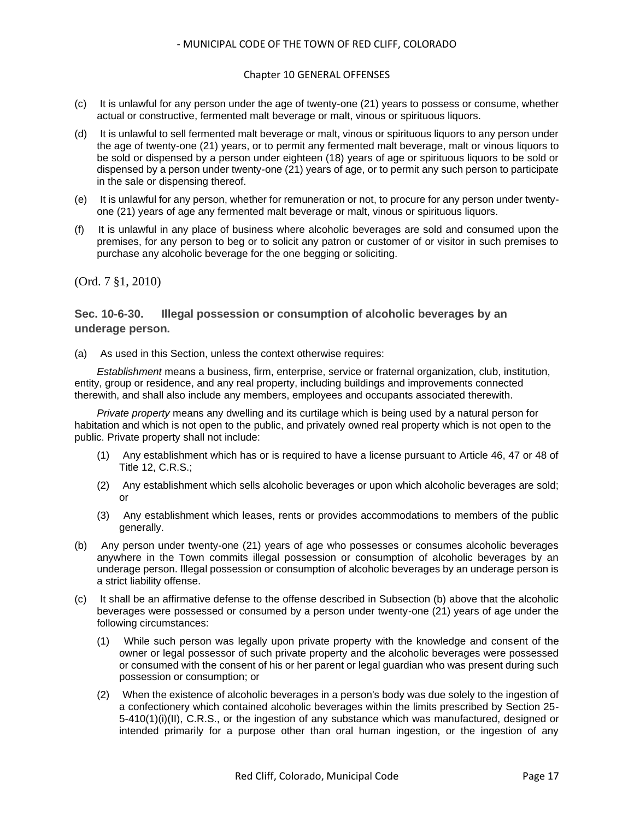# Chapter 10 GENERAL OFFENSES

- (c) It is unlawful for any person under the age of twenty-one (21) years to possess or consume, whether actual or constructive, fermented malt beverage or malt, vinous or spirituous liquors.
- (d) It is unlawful to sell fermented malt beverage or malt, vinous or spirituous liquors to any person under the age of twenty-one (21) years, or to permit any fermented malt beverage, malt or vinous liquors to be sold or dispensed by a person under eighteen (18) years of age or spirituous liquors to be sold or dispensed by a person under twenty-one (21) years of age, or to permit any such person to participate in the sale or dispensing thereof.
- (e) It is unlawful for any person, whether for remuneration or not, to procure for any person under twentyone (21) years of age any fermented malt beverage or malt, vinous or spirituous liquors.
- (f) It is unlawful in any place of business where alcoholic beverages are sold and consumed upon the premises, for any person to beg or to solicit any patron or customer of or visitor in such premises to purchase any alcoholic beverage for the one begging or soliciting.

(Ord. 7 §1, 2010)

# <span id="page-16-0"></span>**Sec. 10-6-30. Illegal possession or consumption of alcoholic beverages by an underage person.**

(a) As used in this Section, unless the context otherwise requires:

*Establishment* means a business, firm, enterprise, service or fraternal organization, club, institution, entity, group or residence, and any real property, including buildings and improvements connected therewith, and shall also include any members, employees and occupants associated therewith.

*Private property* means any dwelling and its curtilage which is being used by a natural person for habitation and which is not open to the public, and privately owned real property which is not open to the public. Private property shall not include:

- (1) Any establishment which has or is required to have a license pursuant to Article 46, 47 or 48 of Title 12, C.R.S.;
- (2) Any establishment which sells alcoholic beverages or upon which alcoholic beverages are sold; or
- (3) Any establishment which leases, rents or provides accommodations to members of the public generally.
- (b) Any person under twenty-one (21) years of age who possesses or consumes alcoholic beverages anywhere in the Town commits illegal possession or consumption of alcoholic beverages by an underage person. Illegal possession or consumption of alcoholic beverages by an underage person is a strict liability offense.
- (c) It shall be an affirmative defense to the offense described in Subsection (b) above that the alcoholic beverages were possessed or consumed by a person under twenty-one (21) years of age under the following circumstances:
	- (1) While such person was legally upon private property with the knowledge and consent of the owner or legal possessor of such private property and the alcoholic beverages were possessed or consumed with the consent of his or her parent or legal guardian who was present during such possession or consumption; or
	- (2) When the existence of alcoholic beverages in a person's body was due solely to the ingestion of a confectionery which contained alcoholic beverages within the limits prescribed by Section 25- 5-410(1)(i)(II), C.R.S., or the ingestion of any substance which was manufactured, designed or intended primarily for a purpose other than oral human ingestion, or the ingestion of any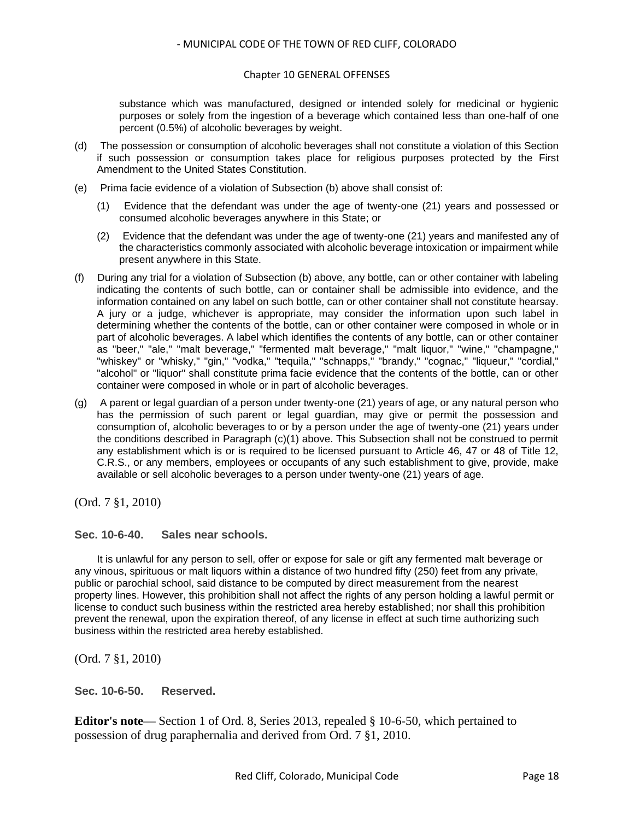### Chapter 10 GENERAL OFFENSES

substance which was manufactured, designed or intended solely for medicinal or hygienic purposes or solely from the ingestion of a beverage which contained less than one-half of one percent (0.5%) of alcoholic beverages by weight.

- (d) The possession or consumption of alcoholic beverages shall not constitute a violation of this Section if such possession or consumption takes place for religious purposes protected by the First Amendment to the United States Constitution.
- (e) Prima facie evidence of a violation of Subsection (b) above shall consist of:
	- (1) Evidence that the defendant was under the age of twenty-one (21) years and possessed or consumed alcoholic beverages anywhere in this State; or
	- (2) Evidence that the defendant was under the age of twenty-one (21) years and manifested any of the characteristics commonly associated with alcoholic beverage intoxication or impairment while present anywhere in this State.
- (f) During any trial for a violation of Subsection (b) above, any bottle, can or other container with labeling indicating the contents of such bottle, can or container shall be admissible into evidence, and the information contained on any label on such bottle, can or other container shall not constitute hearsay. A jury or a judge, whichever is appropriate, may consider the information upon such label in determining whether the contents of the bottle, can or other container were composed in whole or in part of alcoholic beverages. A label which identifies the contents of any bottle, can or other container as "beer," "ale," "malt beverage," "fermented malt beverage," "malt liquor," "wine," "champagne," "whiskey" or "whisky," "gin," "vodka," "tequila," "schnapps," "brandy," "cognac," "liqueur," "cordial," "alcohol" or "liquor" shall constitute prima facie evidence that the contents of the bottle, can or other container were composed in whole or in part of alcoholic beverages.
- (g) A parent or legal guardian of a person under twenty-one (21) years of age, or any natural person who has the permission of such parent or legal guardian, may give or permit the possession and consumption of, alcoholic beverages to or by a person under the age of twenty-one (21) years under the conditions described in Paragraph (c)(1) above. This Subsection shall not be construed to permit any establishment which is or is required to be licensed pursuant to Article 46, 47 or 48 of Title 12, C.R.S., or any members, employees or occupants of any such establishment to give, provide, make available or sell alcoholic beverages to a person under twenty-one (21) years of age.

(Ord. 7 §1, 2010)

# <span id="page-17-0"></span>**Sec. 10-6-40. Sales near schools.**

It is unlawful for any person to sell, offer or expose for sale or gift any fermented malt beverage or any vinous, spirituous or malt liquors within a distance of two hundred fifty (250) feet from any private, public or parochial school, said distance to be computed by direct measurement from the nearest property lines. However, this prohibition shall not affect the rights of any person holding a lawful permit or license to conduct such business within the restricted area hereby established; nor shall this prohibition prevent the renewal, upon the expiration thereof, of any license in effect at such time authorizing such business within the restricted area hereby established.

(Ord. 7 §1, 2010)

<span id="page-17-1"></span>**Sec. 10-6-50. Reserved.**

**Editor's note—** Section 1 of Ord. 8, Series 2013, repealed § 10-6-50, which pertained to possession of drug paraphernalia and derived from Ord. 7 §1, 2010.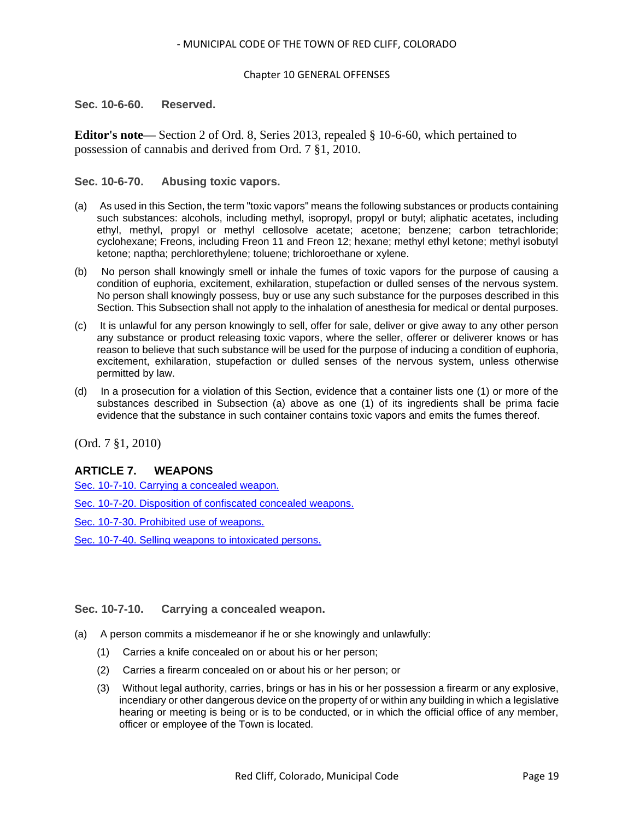### Chapter 10 GENERAL OFFENSES

<span id="page-18-0"></span>**Sec. 10-6-60. Reserved.**

**Editor's note—** Section 2 of Ord. 8, Series 2013, repealed § 10-6-60, which pertained to possession of cannabis and derived from Ord. 7 §1, 2010.

# <span id="page-18-1"></span>**Sec. 10-6-70. Abusing toxic vapors.**

- (a) As used in this Section, the term "toxic vapors" means the following substances or products containing such substances: alcohols, including methyl, isopropyl, propyl or butyl; aliphatic acetates, including ethyl, methyl, propyl or methyl cellosolve acetate; acetone; benzene; carbon tetrachloride; cyclohexane; Freons, including Freon 11 and Freon 12; hexane; methyl ethyl ketone; methyl isobutyl ketone; naptha; perchlorethylene; toluene; trichloroethane or xylene.
- (b) No person shall knowingly smell or inhale the fumes of toxic vapors for the purpose of causing a condition of euphoria, excitement, exhilaration, stupefaction or dulled senses of the nervous system. No person shall knowingly possess, buy or use any such substance for the purposes described in this Section. This Subsection shall not apply to the inhalation of anesthesia for medical or dental purposes.
- (c) It is unlawful for any person knowingly to sell, offer for sale, deliver or give away to any other person any substance or product releasing toxic vapors, where the seller, offerer or deliverer knows or has reason to believe that such substance will be used for the purpose of inducing a condition of euphoria, excitement, exhilaration, stupefaction or dulled senses of the nervous system, unless otherwise permitted by law.
- (d) In a prosecution for a violation of this Section, evidence that a container lists one (1) or more of the substances described in Subsection (a) above as one (1) of its ingredients shall be prima facie evidence that the substance in such container contains toxic vapors and emits the fumes thereof.

(Ord. 7 §1, 2010)

# **ARTICLE 7. WEAPONS**

[Sec. 10-7-10. Carrying a concealed weapon.](#page-18-2)

[Sec. 10-7-20. Disposition of confiscated concealed weapons.](#page-19-0)

[Sec. 10-7-30. Prohibited use of weapons.](#page-19-1)

[Sec. 10-7-40. Selling weapons to intoxicated persons.](#page-20-0)

#### <span id="page-18-2"></span>**Sec. 10-7-10. Carrying a concealed weapon.**

- (a) A person commits a misdemeanor if he or she knowingly and unlawfully:
	- (1) Carries a knife concealed on or about his or her person;
	- (2) Carries a firearm concealed on or about his or her person; or
	- (3) Without legal authority, carries, brings or has in his or her possession a firearm or any explosive, incendiary or other dangerous device on the property of or within any building in which a legislative hearing or meeting is being or is to be conducted, or in which the official office of any member, officer or employee of the Town is located.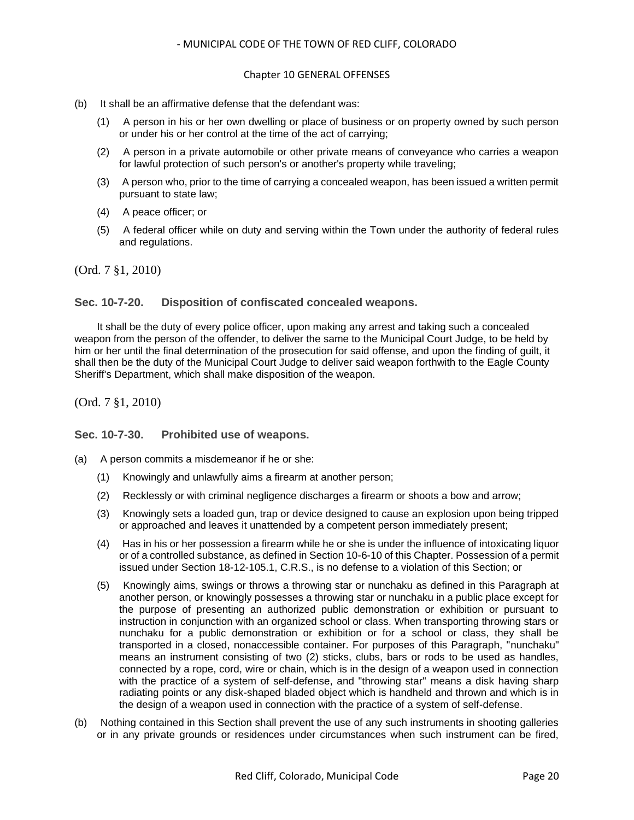#### Chapter 10 GENERAL OFFENSES

- (b) It shall be an affirmative defense that the defendant was:
	- (1) A person in his or her own dwelling or place of business or on property owned by such person or under his or her control at the time of the act of carrying;
	- (2) A person in a private automobile or other private means of conveyance who carries a weapon for lawful protection of such person's or another's property while traveling;
	- (3) A person who, prior to the time of carrying a concealed weapon, has been issued a written permit pursuant to state law;
	- (4) A peace officer; or
	- (5) A federal officer while on duty and serving within the Town under the authority of federal rules and regulations.

(Ord. 7 §1, 2010)

#### <span id="page-19-0"></span>**Sec. 10-7-20. Disposition of confiscated concealed weapons.**

It shall be the duty of every police officer, upon making any arrest and taking such a concealed weapon from the person of the offender, to deliver the same to the Municipal Court Judge, to be held by him or her until the final determination of the prosecution for said offense, and upon the finding of guilt, it shall then be the duty of the Municipal Court Judge to deliver said weapon forthwith to the Eagle County Sheriff's Department, which shall make disposition of the weapon.

(Ord. 7 §1, 2010)

#### <span id="page-19-1"></span>**Sec. 10-7-30. Prohibited use of weapons.**

- (a) A person commits a misdemeanor if he or she:
	- (1) Knowingly and unlawfully aims a firearm at another person;
	- (2) Recklessly or with criminal negligence discharges a firearm or shoots a bow and arrow;
	- (3) Knowingly sets a loaded gun, trap or device designed to cause an explosion upon being tripped or approached and leaves it unattended by a competent person immediately present;
	- (4) Has in his or her possession a firearm while he or she is under the influence of intoxicating liquor or of a controlled substance, as defined in Section 10-6-10 of this Chapter. Possession of a permit issued under Section 18-12-105.1, C.R.S., is no defense to a violation of this Section; or
	- (5) Knowingly aims, swings or throws a throwing star or nunchaku as defined in this Paragraph at another person, or knowingly possesses a throwing star or nunchaku in a public place except for the purpose of presenting an authorized public demonstration or exhibition or pursuant to instruction in conjunction with an organized school or class. When transporting throwing stars or nunchaku for a public demonstration or exhibition or for a school or class, they shall be transported in a closed, nonaccessible container. For purposes of this Paragraph, "nunchaku" means an instrument consisting of two (2) sticks, clubs, bars or rods to be used as handles, connected by a rope, cord, wire or chain, which is in the design of a weapon used in connection with the practice of a system of self-defense, and "throwing star" means a disk having sharp radiating points or any disk-shaped bladed object which is handheld and thrown and which is in the design of a weapon used in connection with the practice of a system of self-defense.
- (b) Nothing contained in this Section shall prevent the use of any such instruments in shooting galleries or in any private grounds or residences under circumstances when such instrument can be fired,